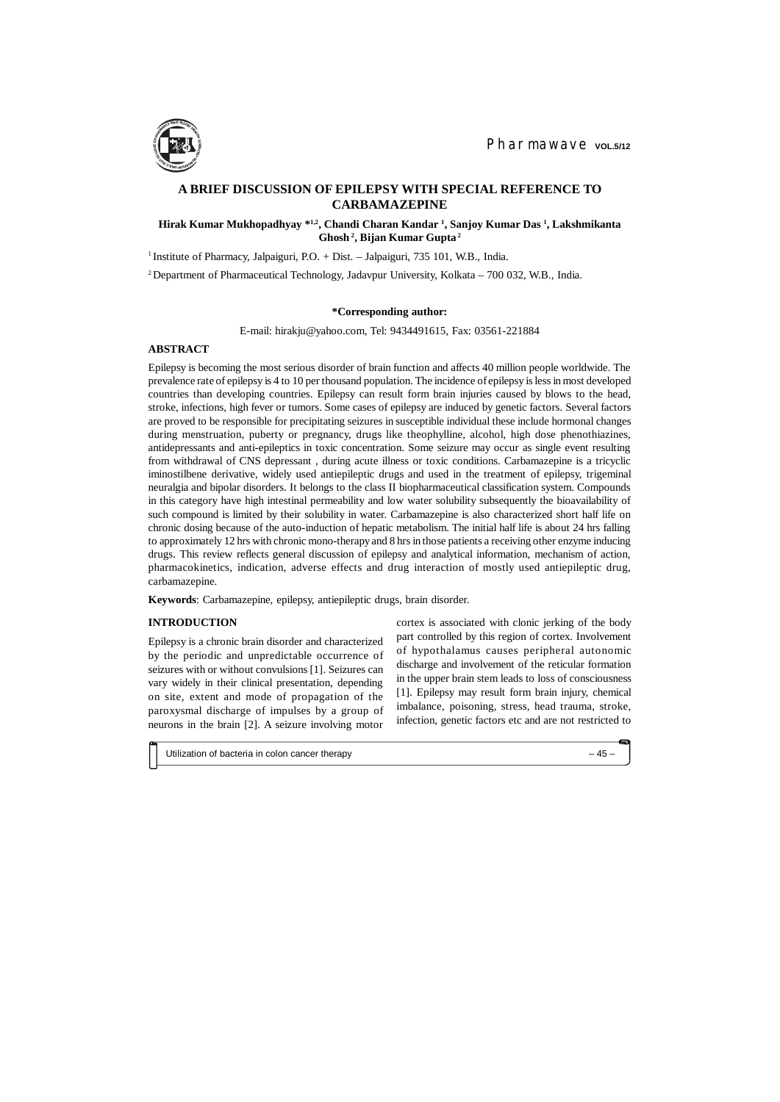## **INTRODUCTION**

Epilepsy is a chronic brain disorder and characterized by the periodic and unpredictable occurrence of seizures with or without convulsions [1]. Seizures can vary widely in their clinical presentation, depending on site, extent and mode of propagation of the paroxysmal discharge of impulses by a group of neurons in the brain [2]. A seizure involving motor

# **A BRIEF DISCUSSION OF EPILEPSY WITH SPECIAL REFERENCE TO CARBAMAZEPINE**

## **Hirak Kumar Mukhopadhyay \*1,2, Chandi Charan Kandar <sup>1</sup> , Sanjoy Kumar Das <sup>1</sup> , Lakshmikanta Ghosh<sup>2</sup>, Bijan Kumar Gupta<sup>2</sup>**

<sup>1</sup> Institute of Pharmacy, Jalpaiguri, P.O. + Dist. - Jalpaiguri, 735 101, W.B., India.

<sup>2</sup>Department of Pharmaceutical Technology, Jadavpur University, Kolkata – 700 032, W.B., India.

#### **\*Corresponding author:**

E-mail: [hirakju@yahoo.com,](mailto:hirakju:@yahoo.com) Tel: 9434491615, Fax: 03561-221884

## **ABSTRACT**

Epilepsy is becoming the most serious disorder of brain function and affects 40 million people worldwide. The prevalence rate of epilepsy is 4 to 10 per thousand population. The incidence of epilepsy is less in most developed countries than developing countries. Epilepsy can result form brain injuries caused by blows to the head, stroke, infections, high fever or tumors. Some cases of epilepsy are induced by genetic factors. Several factors are proved to be responsible for precipitating seizures in susceptible individual these include hormonal changes during menstruation, puberty or pregnancy, drugs like theophylline, alcohol, high dose phenothiazines, antidepressants and anti-epileptics in toxic concentration. Some seizure may occur as single event resulting from withdrawal of CNS depressant , during acute illness or toxic conditions. Carbamazepine is a tricyclic iminostilbene derivative, widely used antiepileptic drugs and used in the treatment of epilepsy, trigeminal neuralgia and bipolar disorders. It belongs to the class II biopharmaceutical classification system. Compounds in this category have high intestinal permeability and low water solubility subsequently the bioavailability of such compound is limited by their solubility in water. Carbamazepine is also characterized short half life on chronic dosing because of the auto-induction of hepatic metabolism. The initial half life is about 24 hrs falling to approximately 12 hrs with chronic mono-therapy and 8 hrs in those patients a receiving other enzyme inducing drugs. This review reflects general discussion of epilepsy and analytical information, mechanism of action, pharmacokinetics, indication, adverse effects and drug interaction of mostly used antiepileptic drug, carbamazepine.

**Keywords**: Carbamazepine, epilepsy, antiepileptic drugs, brain disorder.

cortex is associated with clonic jerking of the body part controlled by this region of cortex. Involvement of hypothalamus causes peripheral autonomic discharge and involvement of the reticular formation in the upper brain stem leads to loss of consciousness [1]. Epilepsy may result form brain injury, chemical imbalance, poisoning, stress, head trauma, stroke, infection, genetic factors etc and are not restricted to

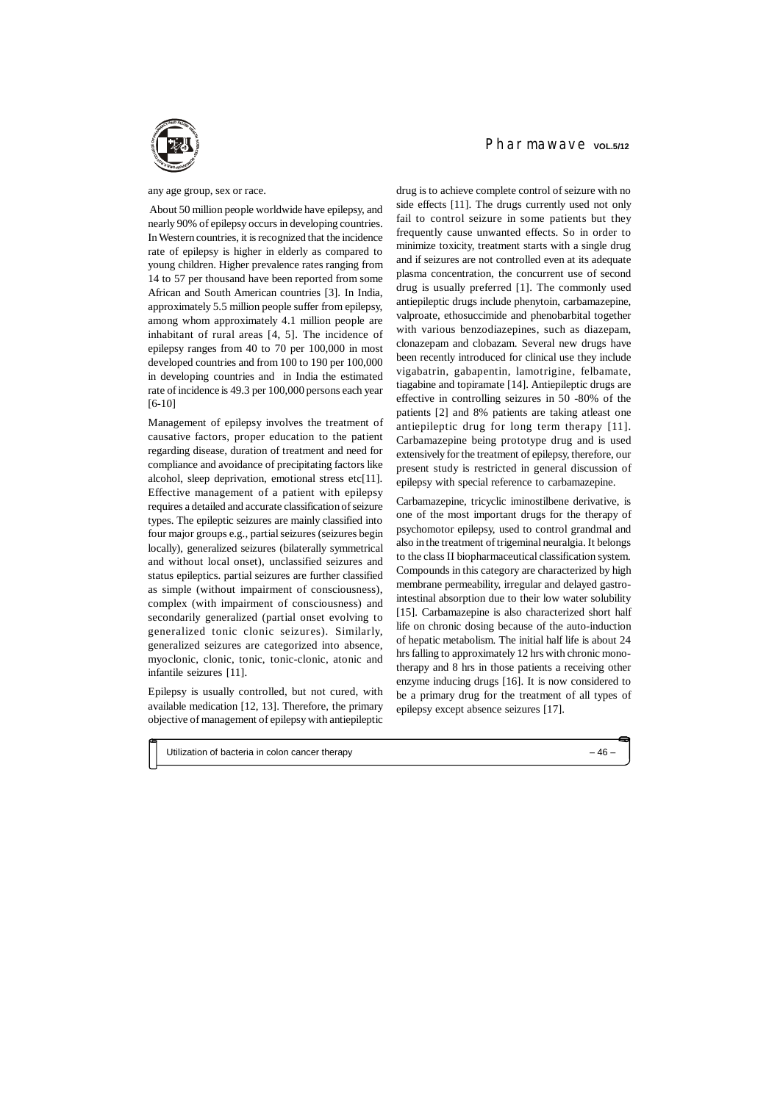#### any age group, sex or race.

 About 50 million people worldwide have epilepsy, and nearly 90% of epilepsy occurs in developing countries. In Western countries, it is recognized that the incidence rate of epilepsy is higher in elderly as compared to young children. Higher prevalence rates ranging from 14 to 57 per thousand have been reported from some African and South American countries [3]. In India, approximately 5.5 million people suffer from epilepsy, among whom approximately 4.1 million people are inhabitant of rural areas [4, 5]. The incidence of epilepsy ranges from 40 to 70 per 100,000 in most developed countries and from 100 to 190 per 100,000 in developing countries and in India the estimated rate of incidence is 49.3 per 100,000 persons each year [6-10]

Management of epilepsy involves the treatment of causative factors, proper education to the patient regarding disease, duration of treatment and need for compliance and avoidance of precipitating factors like alcohol, sleep deprivation, emotional stress etc[11]. Effective management of a patient with epilepsy requires a detailed and accurate classification of seizure types. The epileptic seizures are mainly classified into four major groups e.g., partial seizures (seizures begin locally), generalized seizures (bilaterally symmetrical and without local onset), unclassified seizures and status epileptics. partial seizures are further classified as simple (without impairment of consciousness), complex (with impairment of consciousness) and secondarily generalized (partial onset evolving to generalized tonic clonic seizures). Similarly, generalized seizures are categorized into absence, myoclonic, clonic, tonic, tonic-clonic, atonic and infantile seizures [11].

Epilepsy is usually controlled, but not cured, with available medication [12, 13]. Therefore, the primary objective of management of epilepsy with antiepileptic

## Pharmawaye vol.5/12

drug is to achieve complete control of seizure with no side effects [11]. The drugs currently used not only fail to control seizure in some patients but they frequently cause unwanted effects. So in order to minimize toxicity, treatment starts with a single drug and if seizures are not controlled even at its adequate plasma concentration, the concurrent use of second drug is usually preferred [1]. The commonly used antiepileptic drugs include phenytoin, carbamazepine, valproate, ethosuccimide and phenobarbital together with various benzodiazepines, such as diazepam, clonazepam and clobazam. Several new drugs have been recently introduced for clinical use they include vigabatrin, gabapentin, lamotrigine, felbamate, tiagabine and topiramate [14]. Antiepileptic drugs are effective in controlling seizures in 50 -80% of the patients [2] and 8% patients are taking atleast one antiepileptic drug for long term therapy [11]. Carbamazepine being prototype drug and is used extensively for the treatment of epilepsy, therefore, our present study is restricted in general discussion of epilepsy with special reference to carbamazepine.

Carbamazepine, tricyclic iminostilbene derivative, is one of the most important drugs for the therapy of psychomotor epilepsy, used to control grandmal and also in the treatment of trigeminal neuralgia. It belongs to the class II biopharmaceutical classification system. Compounds in this category are characterized by high membrane permeability, irregular and delayed gastrointestinal absorption due to their low water solubility [15]. Carbamazepine is also characterized short half life on chronic dosing because of the auto-induction of hepatic metabolism. The initial half life is about 24 hrs falling to approximately 12 hrs with chronic monotherapy and 8 hrs in those patients a receiving other enzyme inducing drugs [16]. It is now considered to be a primary drug for the treatment of all types of epilepsy except absence seizures [17].

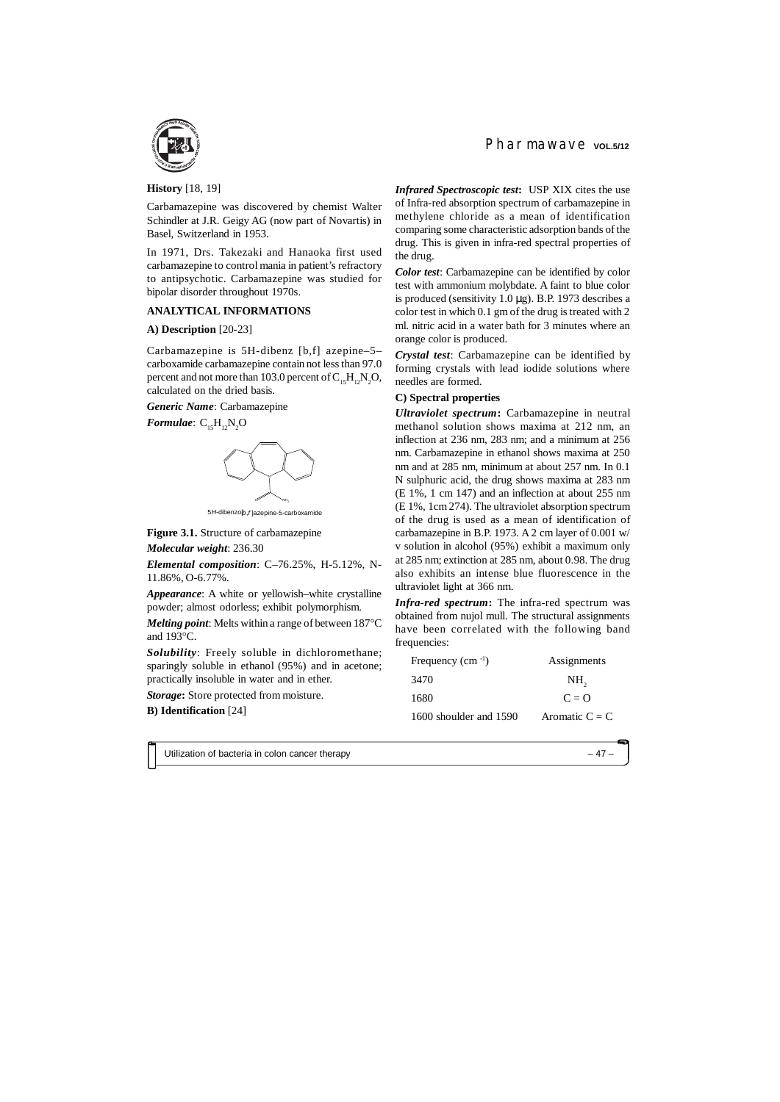**History** [18, 19]

Carbamazepine was discovered by chemist Walter Schindler at J.R. Geigy AG (now part of Novartis) in Basel, Switzerland in 1953.

In 1971, Drs. Takezaki and Hanaoka first used carbamazepine to control mania in patient's refractory to antipsychotic. Carbamazepine was studied for bipolar disorder throughout 1970s.

#### **ANALYTICAL INFORMATIONS**

#### **A) Description** [20-23]

Carbamazepine is 5H-dibenz [b,f] azepine–5– carboxamide carbamazepine contain not less than 97.0 percent and not more than 103.0 percent of  $C_{15}H_{12}N_{2}O$ , calculated on the dried basis.

*Generic Name*: Carbamazepine

*Formulae*:  $C_{15}H_{12}N_2O$ 



5*H*-dibenzo[*b*,*f* ]azepine-5-carboxamide

**Figure 3.1.** Structure of carbamazepine

*Molecular weight*: 236.30

*Elemental composition*: C–76.25%, H-5.12%, N-11.86%, O-6.77%.

*Appearance*: A white or yellowish–white crystalline powder; almost odorless; exhibit polymorphism.

*Melting point:* Melts within a range of between  $187^{\circ}$ C and  $193^{\circ}$ C.

*Solubility*: Freely soluble in dichloromethane; sparingly soluble in ethanol (95%) and in acetone; practically insoluble in water and in ether.

*Storage***:** Store protected from moisture.

**B) Identification** [24]

Pharmawaye vol.5/12

*Infrared Spectroscopic test***:** USP XIX cites the use of Infra-red absorption spectrum of carbamazepine in methylene chloride as a mean of identification comparing some characteristic adsorption bands of the drug. This is given in infra-red spectral properties of the drug.

*Color test*: Carbamazepine can be identified by color test with ammonium molybdate. A faint to blue color is produced (sensitivity 1.0 µg). B.P. 1973 describes a color test in which 0.1 gm of the drug is treated with 2 ml. nitric acid in a water bath for 3 minutes where an orange color is produced.

*Crystal test*: Carbamazepine can be identified by forming crystals with lead iodide solutions where needles are formed.

#### **C) Spectral properties**

*Ultraviolet spectrum***:** Carbamazepine in neutral methanol solution shows maxima at 212 nm, an inflection at 236 nm, 283 nm; and a minimum at 256 nm. Carbamazepine in ethanol shows maxima at 250 nm and at 285 nm, minimum at about 257 nm. In 0.1 N sulphuric acid, the drug shows maxima at 283 nm (E 1%, 1 cm 147) and an inflection at about 255 nm (E 1%, 1cm 274). The ultraviolet absorption spectrum of the drug is used as a mean of identification of carbamazepine in B.P. 1973. A 2 cm layer of 0.001 w/ v solution in alcohol (95%) exhibit a maximum only at 285 nm; extinction at 285 nm, about 0.98. The drug also exhibits an intense blue fluorescence in the ultraviolet light at 366 nm.

*Infra-red spectrum***:** The infra-red spectrum was obtained from nujol mull. The structural assignments have been correlated with the following band frequencies:

| Frequency $(cm^{-1})$  | Assignments      |  |
|------------------------|------------------|--|
| 3470                   | NH <sub>2</sub>  |  |
| 1680                   | $C = Q$          |  |
| 1600 shoulder and 1590 | Aromatic $C = C$ |  |

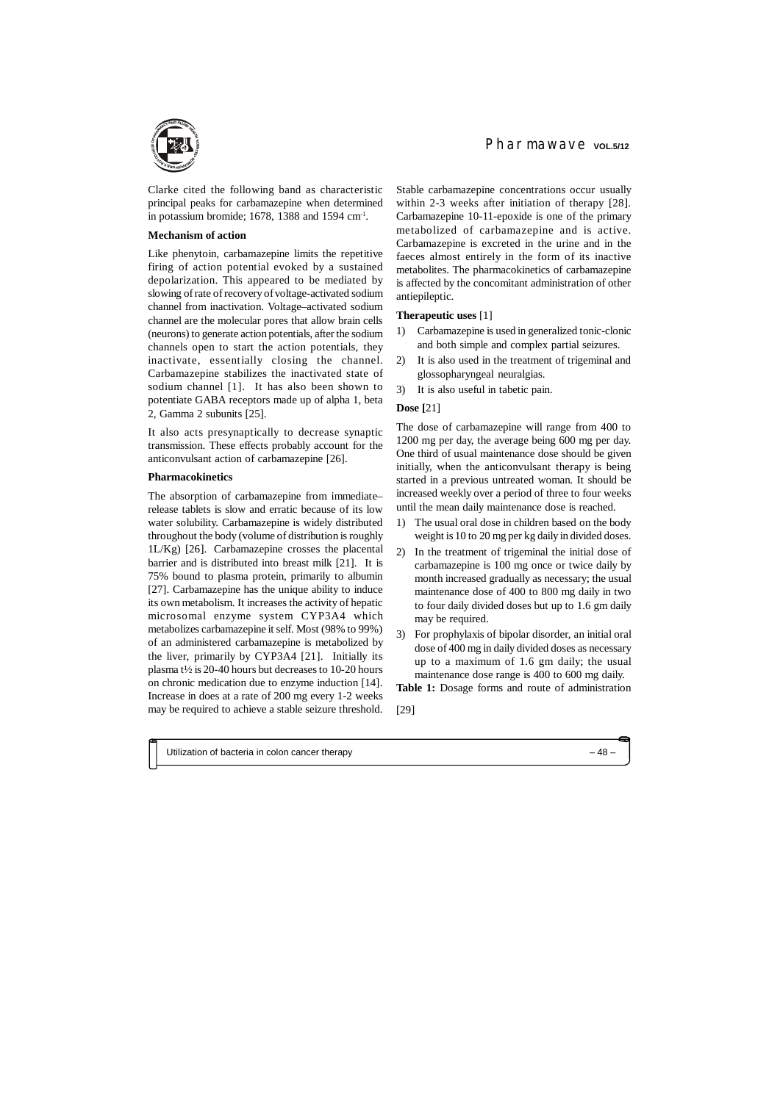#### **Mechanism of action**

Like phenytoin, carbamazepine limits the repetitive firing of action potential evoked by a sustained depolarization. This appeared to be mediated by slowing of rate of recovery of voltage-activated sodium channel from inactivation. Voltage–activated sodium channel are the molecular pores that allow brain cells (neurons) to generate action potentials, after the sodium channels open to start the action potentials, they inactivate, essentially closing the channel. Carbamazepine stabilizes the inactivated state of sodium channel [1]. It has also been shown to potentiate GABA receptors made up of alpha 1, beta 2, Gamma 2 subunits [25].

It also acts presynaptically to decrease synaptic transmission. These effects probably account for the anticonvulsant action of carbamazepine [26].

#### **Pharmacokinetics**

The absorption of carbamazepine from immediate– release tablets is slow and erratic because of its low water solubility. Carbamazepine is widely distributed throughout the body (volume of distribution is roughly 1L/Kg) [26]. Carbamazepine crosses the placental barrier and is distributed into breast milk [21]. It is 75% bound to plasma protein, primarily to albumin [27]. Carbamazepine has the unique ability to induce its own metabolism. It increases the activity of hepatic microsomal enzyme system CYP3A4 which metabolizes carbamazepine it self. Most (98% to 99%) of an administered carbamazepine is metabolized by the liver, primarily by CYP3A4 [21]. Initially its plasma t½ is 20-40 hours but decreases to 10-20 hours on chronic medication due to enzyme induction [14]. Increase in does at a rate of 200 mg every 1-2 weeks may be required to achieve a stable seizure threshold.

Stable carbamazepine concentrations occur usually within 2-3 weeks after initiation of therapy [28]. Carbamazepine 10-11-epoxide is one of the primary metabolized of carbamazepine and is active. Carbamazepine is excreted in the urine and in the faeces almost entirely in the form of its inactive metabolites. The pharmacokinetics of carbamazepine is affected by the concomitant administration of other antiepileptic.

#### **Therapeutic uses** [1]

- 1) Carbamazepine is used in generalized tonic-clonic and both simple and complex partial seizures.
- 2) It is also used in the treatment of trigeminal and glossopharyngeal neuralgias.
- 3) It is also useful in tabetic pain.

## **Dose [**21]

The dose of carbamazepine will range from 400 to 1200 mg per day, the average being 600 mg per day. One third of usual maintenance dose should be given initially, when the anticonvulsant therapy is being started in a previous untreated woman. It should be increased weekly over a period of three to four weeks until the mean daily maintenance dose is reached.

- 1) The usual oral dose in children based on the body weight is 10 to 20 mg per kg daily in divided doses.
- 2) In the treatment of trigeminal the initial dose of carbamazepine is 100 mg once or twice daily by month increased gradually as necessary; the usual maintenance dose of 400 to 800 mg daily in two to four daily divided doses but up to 1.6 gm daily may be required.
- 3) For prophylaxis of bipolar disorder, an initial oral dose of 400 mg in daily divided doses as necessary up to a maximum of 1.6 gm daily; the usual maintenance dose range is 400 to 600 mg daily.

**Table 1:** Dosage forms and route of administration

[29]



Clarke cited the following band as characteristic principal peaks for carbamazepine when determined in potassium bromide;  $1678$ ,  $1388$  and  $1594$  cm<sup>-1</sup>.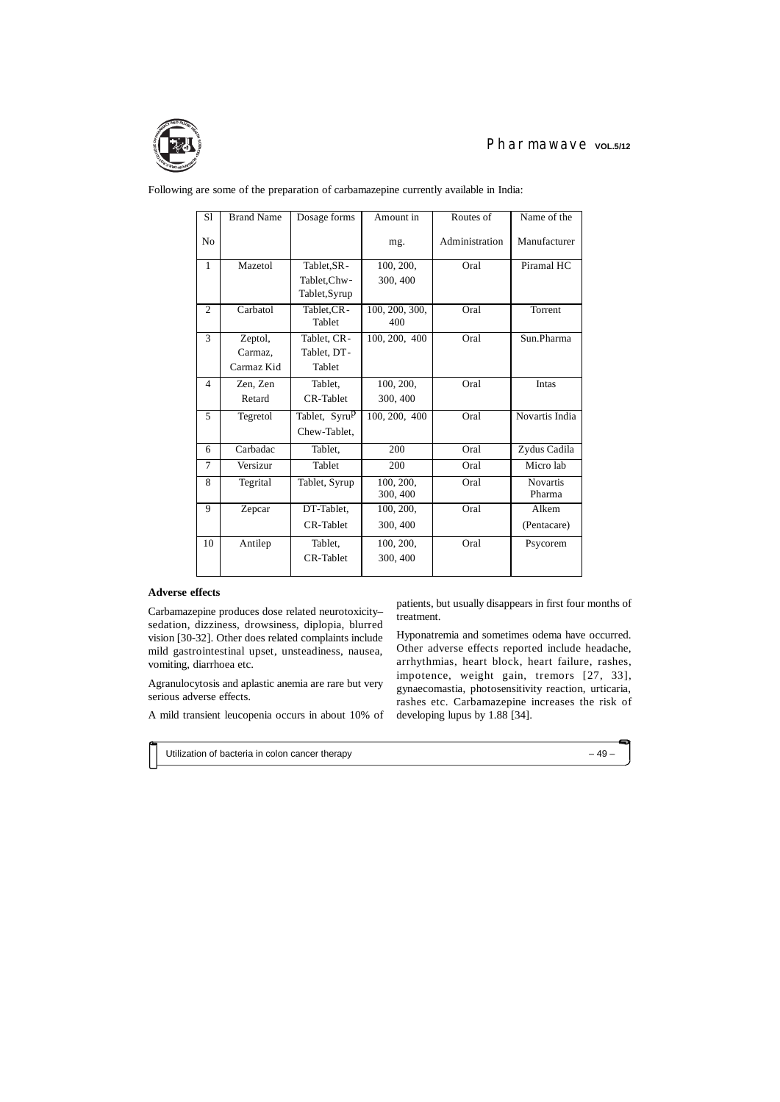Following are some of the preparation of carbamazepine currently available in India:

| S <sub>1</sub> | <b>Brand Name</b>     | Dosage forms                              | Amount in             | Routes of      | Name of the               |
|----------------|-----------------------|-------------------------------------------|-----------------------|----------------|---------------------------|
| N <sub>0</sub> |                       |                                           | mg.                   | Administration | Manufacturer              |
| $\mathbf{1}$   | Mazetol               | Tablet, SR-                               | 100, 200,             | Oral           | Piramal HC                |
|                |                       | Tablet, Chw-<br>Tablet, Syrup             | 300, 400              |                |                           |
| $\overline{2}$ | Carbatol              | Tablet, CR-<br>Tablet                     | 100, 200, 300,<br>400 | Oral           | Torrent                   |
| 3              | Zeptol,               | Tablet, CR-                               | 100, 200, 400         | Oral           | Sun.Pharma                |
|                | Carmaz,<br>Carmaz Kid | Tablet, DT-<br>Tablet                     |                       |                |                           |
| 4              | Zen, Zen              | Tablet,                                   | 100, 200,             | Oral           | Intas                     |
|                | Retard                | <b>CR-Tablet</b>                          | 300, 400              |                |                           |
| 5              | Tegretol              | Tablet, Syru <sup>p</sup><br>Chew-Tablet, | 100, 200, 400         | Oral           | Novartis India            |
| 6              | Carbadac              | Tablet,                                   | 200                   | Oral           | Zydus Cadila              |
| 7              | Versizur              | Tablet                                    | 200                   | Oral           | Micro lab                 |
| 8              | Tegrital              | Tablet, Syrup                             | 100, 200,<br>300, 400 | Oral           | <b>Novartis</b><br>Pharma |
| 9              | Zepcar                | DT-Tablet,<br>CR-Tablet                   | 100, 200,<br>300, 400 | Oral           | Alkem<br>(Pentacare)      |
| 10             | Antilep               | Tablet,<br>CR-Tablet                      | 100, 200,<br>300, 400 | Oral           | Psycorem                  |

## **Adverse effects**

Carbamazepine produces dose related neurotoxicity– sedation, dizziness, drowsiness, diplopia, blurred vision [30-32]. Other does related complaints include mild gastrointestinal upset, unsteadiness, nausea, vomiting, diarrhoea etc.

Agranulocytosis and aplastic anemia are rare but very serious adverse effects.

A mild transient leucopenia occurs in about 10% of

patients, but usually disappears in first four months of treatment.

Hyponatremia and sometimes odema have occurred. Other adverse effects reported include headache, arrhythmias, heart block, heart failure, rashes, impotence, weight gain, tremors [27, 33], gynaecomastia, photosensitivity reaction, urticaria, rashes etc. Carbamazepine increases the risk of developing lupus by 1.88 [34].



# Pharmawave vol.5/12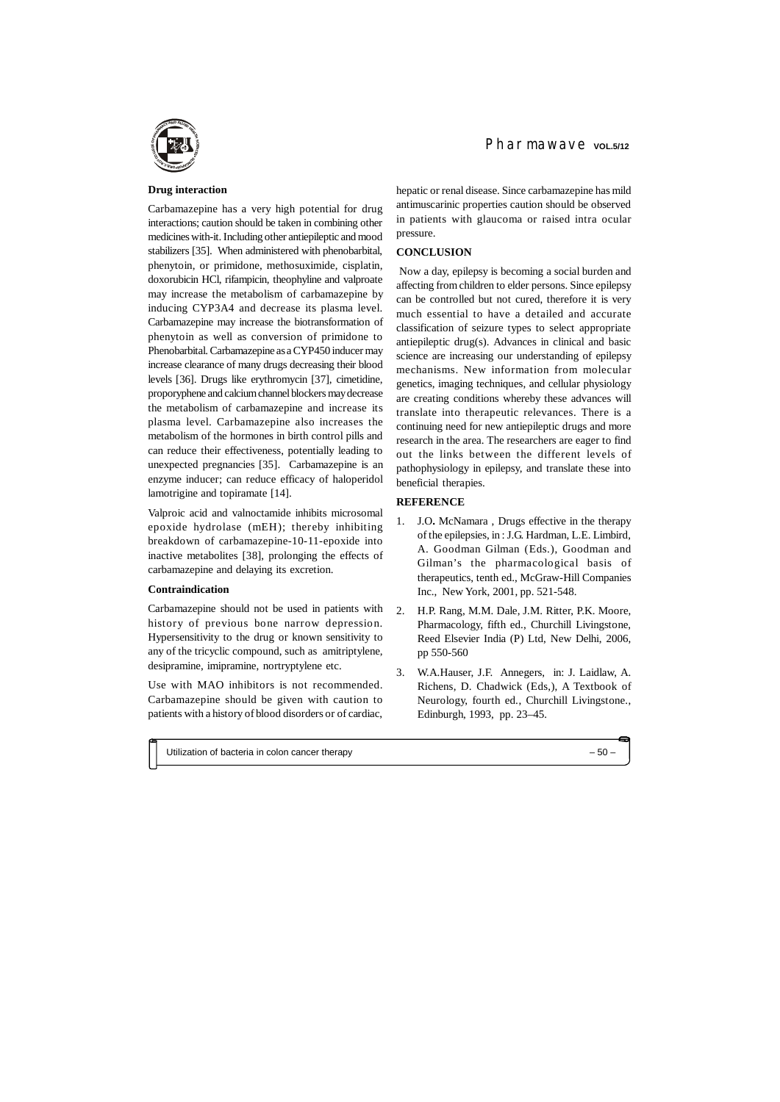## **Drug interaction**

Carbamazepine has a very high potential for drug interactions; caution should be taken in combining other medicines with-it. Including other antiepileptic and mood stabilizers [35]. When administered with phenobarbital, phenytoin, or primidone, methosuximide, cisplatin, doxorubicin HCl, rifampicin, theophyline and valproate may increase the metabolism of carbamazepine by inducing CYP3A4 and decrease its plasma level. Carbamazepine may increase the biotransformation of phenytoin as well as conversion of primidone to Phenobarbital. Carbamazepine as a CYP450 inducer may increase clearance of many drugs decreasing their blood levels [36]. Drugs like erythromycin [37], cimetidine, proporyphene and calcium channel blockers may decrease the metabolism of carbamazepine and increase its plasma level. Carbamazepine also increases the metabolism of the hormones in birth control pills and can reduce their effectiveness, potentially leading to unexpected pregnancies [35]. Carbamazepine is an enzyme inducer; can reduce efficacy of haloperidol lamotrigine and topiramate [14].

Valproic acid and valnoctamide inhibits microsomal epoxide hydrolase (mEH); thereby inhibiting breakdown of carbamazepine-10-11-epoxide into inactive metabolites [38], prolonging the effects of carbamazepine and delaying its excretion.

#### **Contraindication**

Carbamazepine should not be used in patients with history of previous bone narrow depression. Hypersensitivity to the drug or known sensitivity to any of the tricyclic compound, such as amitriptylene, desipramine, imipramine, nortryptylene etc.

Use with MAO inhibitors is not recommended. Carbamazepine should be given with caution to patients with a history of blood disorders or of cardiac,

hepatic or renal disease. Since carbamazepine has mild antimuscarinic properties caution should be observed in patients with glaucoma or raised intra ocular pressure.

## **CONCLUSION**

 Now a day, epilepsy is becoming a social burden and affecting from children to elder persons. Since epilepsy can be controlled but not cured, therefore it is very much essential to have a detailed and accurate classification of seizure types to select appropriate antiepileptic drug(s). Advances in clinical and basic science are increasing our understanding of epilepsy mechanisms. New information from molecular genetics, imaging techniques, and cellular physiology are creating conditions whereby these advances will translate into therapeutic relevances. There is a continuing need for new antiepileptic drugs and more research in the area. The researchers are eager to find out the links between the different levels of pathophysiology in epilepsy, and translate these into beneficial therapies.

## **REFERENCE**

- 1. J.O**.** McNamara , Drugs effective in the therapy of the epilepsies, in : J.G. Hardman, L.E. Limbird, A. Goodman Gilman (Eds.), Goodman and Gilman's the pharmacological basis of therapeutics, tenth ed., McGraw-Hill Companies Inc., New York, 2001, pp. 521-548.
- 2. H.P. Rang, M.M. Dale, J.M. Ritter, P.K. Moore, Pharmacology, fifth ed., Churchill Livingstone, Reed Elsevier India (P) Ltd, New Delhi, 2006, pp 550-560
- 3. W.A.Hauser, J.F. Annegers, in: J. Laidlaw, A. Richens, D. Chadwick (Eds,), A Textbook of Neurology, fourth ed., Churchill Livingstone., Edinburgh, 1993, pp. 23–45.

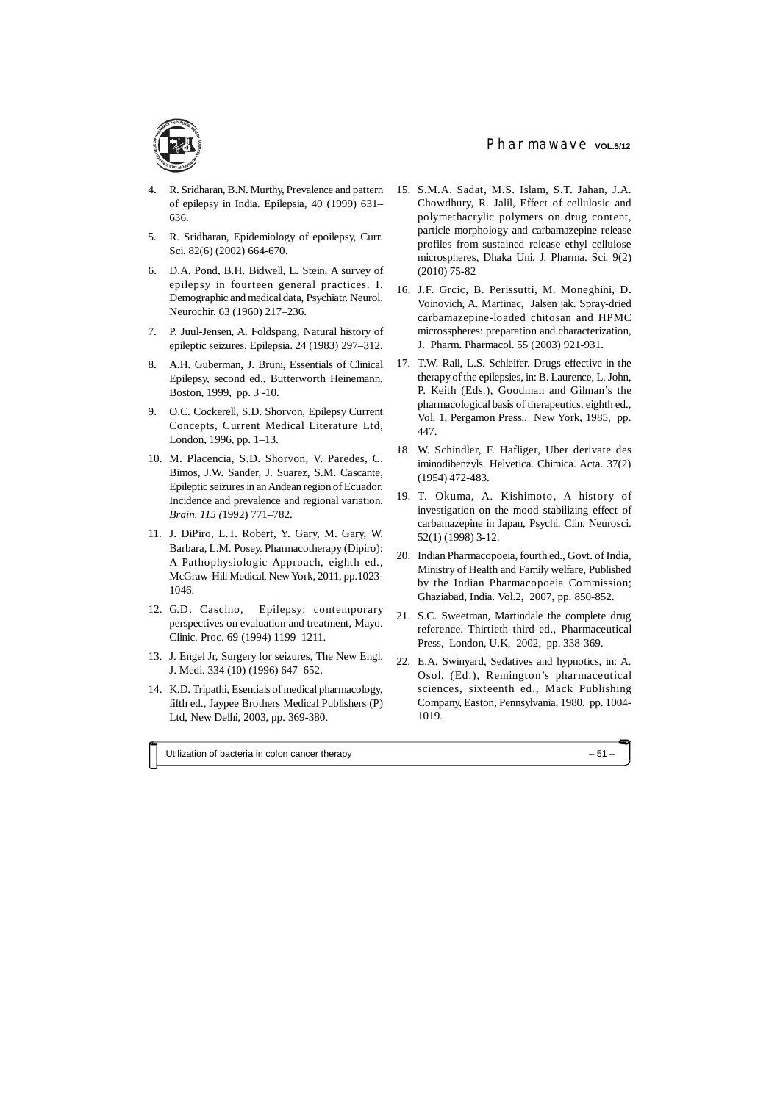- 4. R. Sridharan, B.N. Murthy, Prevalence and pattern of epilepsy in India. Epilepsia, 40 (1999) 631– 636.
- 5. R. Sridharan, Epidemiology of epoilepsy, Curr. Sci. 82(6) (2002) 664-670.
- 6. D.A. Pond, B.H. Bidwell, L. Stein, A survey of epilepsy in fourteen general practices. I. Demographic and medical data, Psychiatr. Neurol. Neurochir. 63 (1960) 217–236.
- 7. P. Juul-Jensen, A. Foldspang, Natural history of epileptic seizures, Epilepsia. 24 (1983) 297–312.
- 8. A.H. Guberman, J. Bruni, Essentials of Clinical Epilepsy, second ed., Butterworth Heinemann, Boston, 1999, pp. 3 -10.
- 9. O.C. Cockerell, S.D. Shorvon, Epilepsy Current Concepts, Current Medical Literature Ltd, London, 1996, pp. 1–13.
- 10. M. Placencia, S.D. Shorvon, V. Paredes, C. Bimos, J.W. Sander, J. Suarez, S.M. Cascante, Epileptic seizures in an Andean region of Ecuador. Incidence and prevalence and regional variation, *Brain. 115 (*1992) 771–782.
- 11. J. DiPiro, L.T. Robert, Y. Gary, M. Gary, W. Barbara, L.M. Posey. Pharmacotherapy (Dipiro): A Pathophysiologic Approach, eighth ed., McGraw-Hill Medical, New York, 2011, pp.1023- 1046.
- 12. G.D. Cascino, Epilepsy: contemporary perspectives on evaluation and treatment, Mayo. Clinic. Proc. 69 (1994) 1199–1211.
- 13. J. Engel Jr, Surgery for seizures, The New Engl. J. Medi. 334 (10) (1996) 647–652.
- 14. K.D. Tripathi, Esentials of medical pharmacology, fifth ed., Jaypee Brothers Medical Publishers (P) Ltd, New Delhi, 2003, pp. 369-380.
- 15. S.M.A. Sadat, M.S. Islam, S.T. Jahan, J.A. Chowdhury, R. Jalil, Effect of cellulosic and polymethacrylic polymers on drug content, particle morphology and carbamazepine release profiles from sustained release ethyl cellulose microspheres, Dhaka Uni. J. Pharma. Sci. 9(2) (2010) 75-82
- 16. J.F. Grcic, B. Perissutti, M. Moneghini, D. Voinovich, A. Martinac, Jalsen jak. Spray-dried carbamazepine-loaded chitosan and HPMC microsspheres: preparation and characterization, J. Pharm. Pharmacol. 55 (2003) 921-931.
- 17. T.W. Rall, L.S. Schleifer. Drugs effective in the therapy of the epilepsies, in: B. Laurence, L. John, P. Keith (Eds.), Goodman and Gilman's the pharmacological basis of therapeutics, eighth ed., Vol. 1, Pergamon Press., New York, 1985, pp. 447.
- 18. W. Schindler, F. Hafliger, Uber derivate des iminodibenzyls. Helvetica. Chimica. Acta. 37(2) (1954) 472-483.
- 19. T. Okuma, A. Kishimoto, A history of investigation on the mood stabilizing effect of carbamazepine in Japan, Psychi. Clin. Neurosci. 52(1) (1998) 3-12.
- 20. Indian Pharmacopoeia, fourth ed., Govt. of India, Ministry of Health and Family welfare, Published by the Indian Pharmacopoeia Commission; Ghaziabad, India. Vol.2, 2007, pp. 850-852.
- 21. S.C. Sweetman, Martindale the complete drug reference. Thirtieth third ed., Pharmaceutical Press, London, U.K, 2002, pp. 338-369.
- 22. E.A. Swinyard, Sedatives and hypnotics, in: A. Osol, (Ed.), Remington's pharmaceutical sciences, sixteenth ed., Mack Publishing Company, Easton, Pennsylvania, 1980, pp. 1004- 1019.

Utilization of bacteria in colon cancer therapy – 51 –